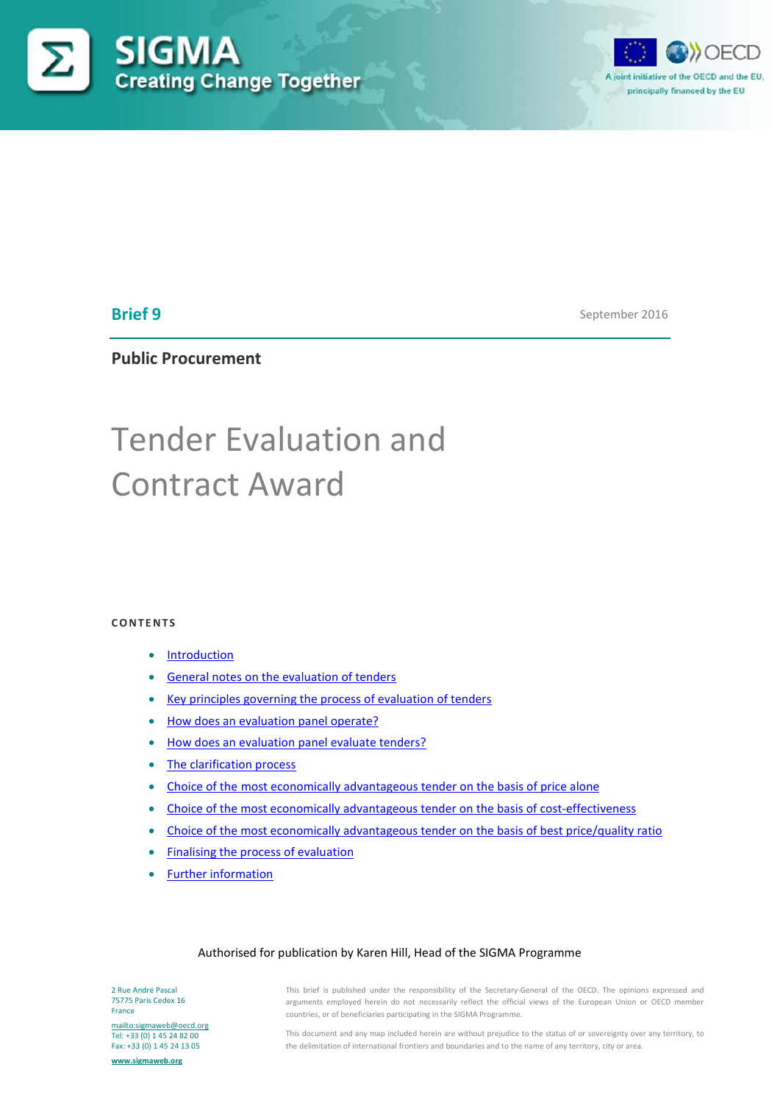



# **Brief 9**

September 2016

**Public Procurement**

# Tender Evaluation and Contract Award

#### **CONTENTS**

- [Introduction](#page-1-0)
- [General notes on the evaluation of tenders](#page-1-1)
- [Key principles governing the process of evaluation of tenders](#page-2-0)
- [How does an evaluation panel operate?](#page-2-1)
- [How does an evaluation panel evaluate tenders?](#page-4-0)
- [The clarification process](#page-6-0)
- Choice of the [most economically advantageous tender on the basis of price alone](#page-7-0)
- [Choice of the most economically advantageous tender on the basis of cost-effectiveness](#page-7-1)
- [Choice of the most economically advantageous tender on the basis of best price/quality ratio](#page-8-0)
- [Finalising the process of evaluation](#page-8-1)
- [Further information](#page-11-0)

#### Authorised for publication by Karen Hill, Head of the SIGMA Programme

2 Rue André Pascal 75775 Paris Cedex 16 France

<mailto:sigmaweb@oecd.org> Tel: +33 (0) 1 45 24 82 00 Fax: +33 (0) 1 45 24 13 05

**[www.sigmaweb.org](http://www.sigmaweb.org/)**

This brief is published under the responsibility of the Secretary-General of the OECD. The opinions expressed and arguments employed herein do not necessarily reflect the official views of the European Union or OECD member countries, or of beneficiaries participating in the SIGMA Programme.

This document and any map included herein are without prejudice to the status of or sovereignty over any territory, to the delimitation of international frontiers and boundaries and to the name of any territory, city or area.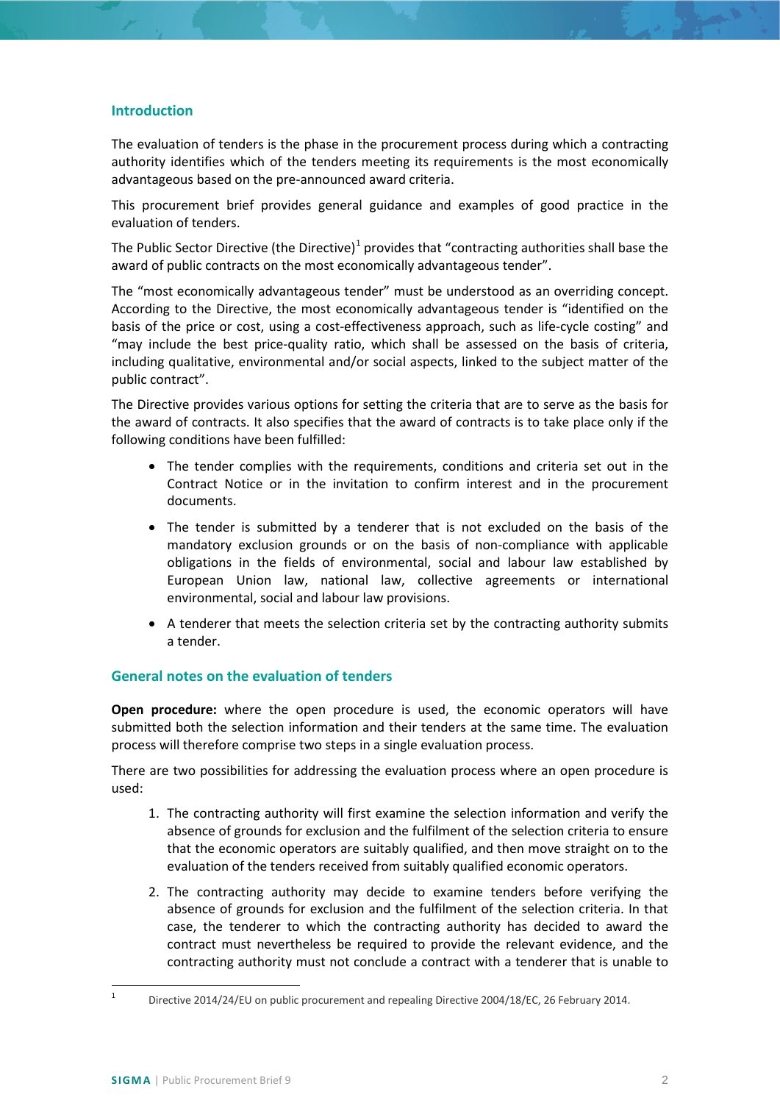## <span id="page-1-0"></span>**Introduction**

The evaluation of tenders is the phase in the procurement process during which a contracting authority identifies which of the tenders meeting its requirements is the most economically advantageous based on the pre-announced award criteria.

This procurement brief provides general guidance and examples of good practice in the evaluation of tenders.

The Public Sector Directive (the Directive)<sup>[1](#page-1-2)</sup> provides that "contracting authorities shall base the award of public contracts on the most economically advantageous tender".

The "most economically advantageous tender" must be understood as an overriding concept. According to the Directive, the most economically advantageous tender is "identified on the basis of the price or cost, using a cost-effectiveness approach, such as life-cycle costing" and "may include the best price-quality ratio, which shall be assessed on the basis of criteria, including qualitative, environmental and/or social aspects, linked to the subject matter of the public contract".

The Directive provides various options for setting the criteria that are to serve as the basis for the award of contracts. It also specifies that the award of contracts is to take place only if the following conditions have been fulfilled:

- The tender complies with the requirements, conditions and criteria set out in the Contract Notice or in the invitation to confirm interest and in the procurement documents.
- The tender is submitted by a tenderer that is not excluded on the basis of the mandatory exclusion grounds or on the basis of non-compliance with applicable obligations in the fields of environmental, social and labour law established by European Union law, national law, collective agreements or international environmental, social and labour law provisions.
- A tenderer that meets the selection criteria set by the contracting authority submits a tender.

## <span id="page-1-1"></span>**General notes on the evaluation of tenders**

**Open procedure:** where the open procedure is used, the economic operators will have submitted both the selection information and their tenders at the same time. The evaluation process will therefore comprise two steps in a single evaluation process.

There are two possibilities for addressing the evaluation process where an open procedure is used:

- 1. The contracting authority will first examine the selection information and verify the absence of grounds for exclusion and the fulfilment of the selection criteria to ensure that the economic operators are suitably qualified, and then move straight on to the evaluation of the tenders received from suitably qualified economic operators.
- 2. The contracting authority may decide to examine tenders before verifying the absence of grounds for exclusion and the fulfilment of the selection criteria. In that case, the tenderer to which the contracting authority has decided to award the contract must nevertheless be required to provide the relevant evidence, and the contracting authority must not conclude a contract with a tenderer that is unable to

<span id="page-1-2"></span>

Directive 2014/24/EU on public procurement and repealing Directive 2004/18/EC, 26 February 2014.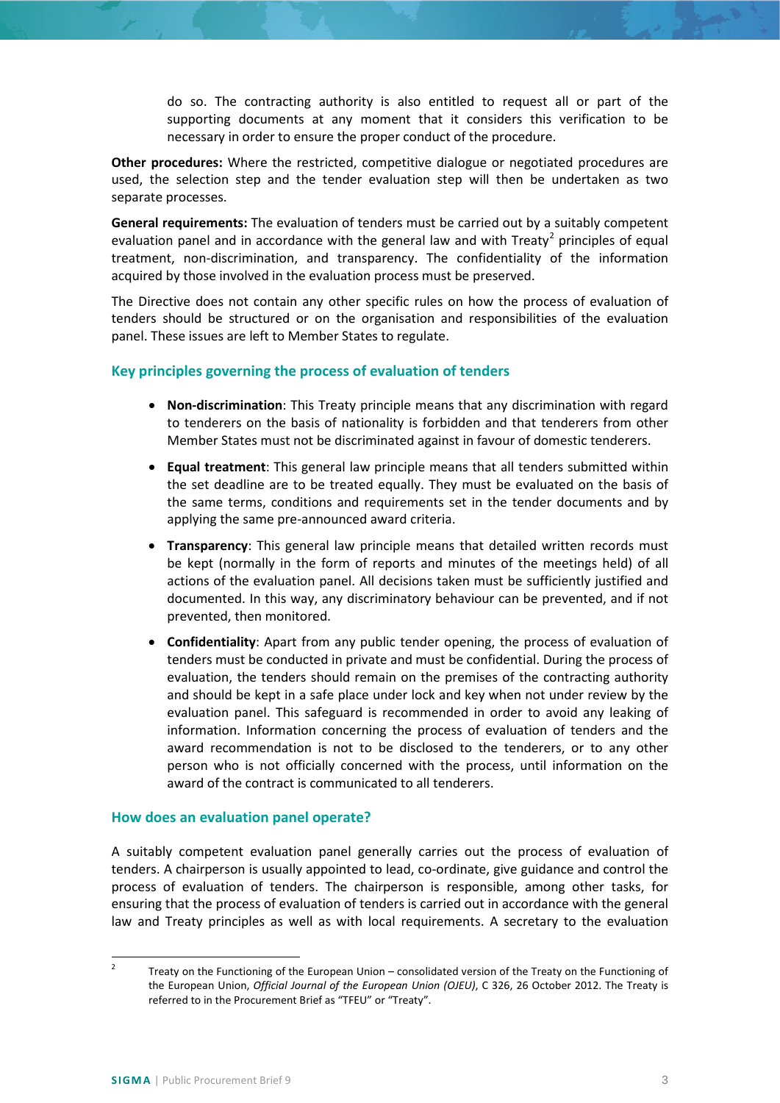do so. The contracting authority is also entitled to request all or part of the supporting documents at any moment that it considers this verification to be necessary in order to ensure the proper conduct of the procedure.

**Other procedures:** Where the restricted, competitive dialogue or negotiated procedures are used, the selection step and the tender evaluation step will then be undertaken as two separate processes.

**General requirements:** The evaluation of tenders must be carried out by a suitably competent evaluation panel and in accordance with the general law and with Treaty<sup>[2](#page-2-2)</sup> principles of equal treatment, non-discrimination, and transparency. The confidentiality of the information acquired by those involved in the evaluation process must be preserved.

The Directive does not contain any other specific rules on how the process of evaluation of tenders should be structured or on the organisation and responsibilities of the evaluation panel. These issues are left to Member States to regulate.

## <span id="page-2-0"></span>**Key principles governing the process of evaluation of tenders**

- **Non-discrimination**: This Treaty principle means that any discrimination with regard to tenderers on the basis of nationality is forbidden and that tenderers from other Member States must not be discriminated against in favour of domestic tenderers.
- **Equal treatment**: This general law principle means that all tenders submitted within the set deadline are to be treated equally. They must be evaluated on the basis of the same terms, conditions and requirements set in the tender documents and by applying the same pre-announced award criteria.
- **Transparency**: This general law principle means that detailed written records must be kept (normally in the form of reports and minutes of the meetings held) of all actions of the evaluation panel. All decisions taken must be sufficiently justified and documented. In this way, any discriminatory behaviour can be prevented, and if not prevented, then monitored.
- **Confidentiality**: Apart from any public tender opening, the process of evaluation of tenders must be conducted in private and must be confidential. During the process of evaluation, the tenders should remain on the premises of the contracting authority and should be kept in a safe place under lock and key when not under review by the evaluation panel. This safeguard is recommended in order to avoid any leaking of information. Information concerning the process of evaluation of tenders and the award recommendation is not to be disclosed to the tenderers, or to any other person who is not officially concerned with the process, until information on the award of the contract is communicated to all tenderers.

## <span id="page-2-1"></span>**How does an evaluation panel operate?**

A suitably competent evaluation panel generally carries out the process of evaluation of tenders. A chairperson is usually appointed to lead, co-ordinate, give guidance and control the process of evaluation of tenders. The chairperson is responsible, among other tasks, for ensuring that the process of evaluation of tenders is carried out in accordance with the general law and Treaty principles as well as with local requirements. A secretary to the evaluation

<span id="page-2-2"></span><sup>&</sup>lt;sup>2</sup> Treaty on the Functioning of the European Union – consolidated version of the Treaty on the Functioning of the European Union, *Official Journal of the European Union (OJEU)*, C 326, 26 October 2012. The Treaty is referred to in the Procurement Brief as "TFEU" or "Treaty".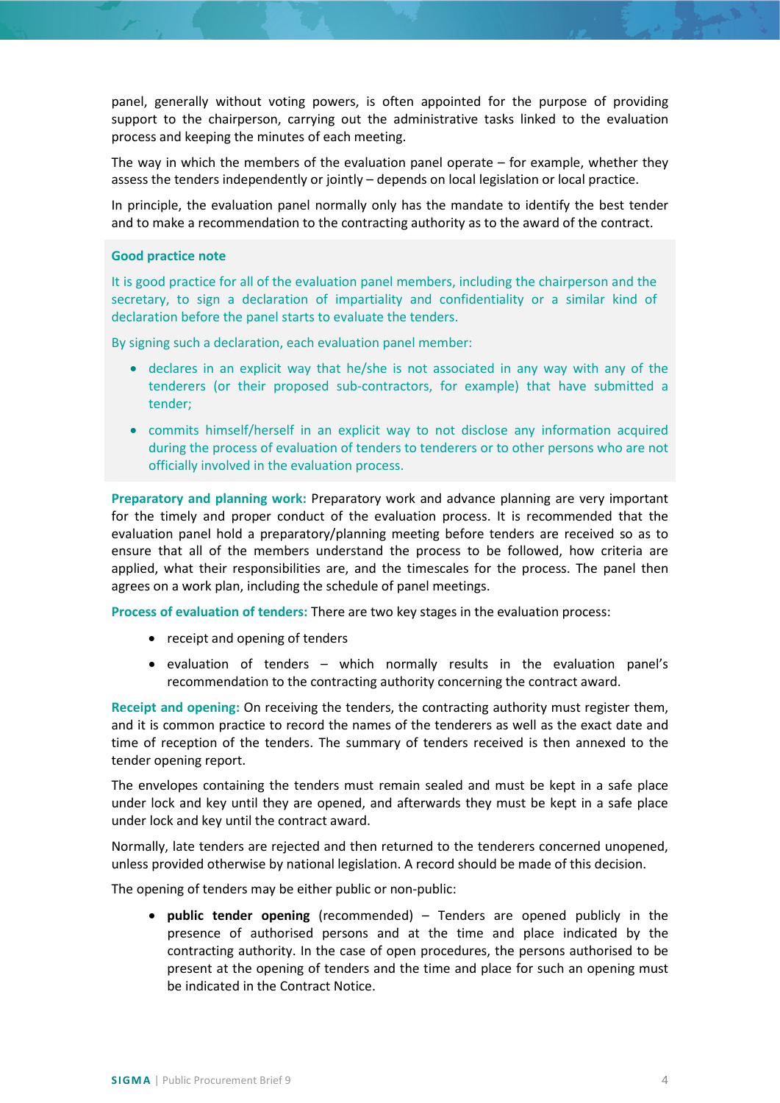panel, generally without voting powers, is often appointed for the purpose of providing support to the chairperson, carrying out the administrative tasks linked to the evaluation process and keeping the minutes of each meeting.

The way in which the members of the evaluation panel operate  $-$  for example, whether they assess the tenders independently or jointly – depends on local legislation or local practice.

In principle, the evaluation panel normally only has the mandate to identify the best tender and to make a recommendation to the contracting authority as to the award of the contract.

#### **Good practice note**

It is good practice for all of the evaluation panel members, including the chairperson and the secretary, to sign a declaration of impartiality and confidentiality or a similar kind of declaration before the panel starts to evaluate the tenders.

By signing such a declaration, each evaluation panel member:

- declares in an explicit way that he/she is not associated in any way with any of the tenderers (or their proposed sub-contractors, for example) that have submitted a tender;
- commits himself/herself in an explicit way to not disclose any information acquired during the process of evaluation of tenders to tenderers or to other persons who are not officially involved in the evaluation process.

**Preparatory and planning work:** Preparatory work and advance planning are very important for the timely and proper conduct of the evaluation process. It is recommended that the evaluation panel hold a preparatory/planning meeting before tenders are received so as to ensure that all of the members understand the process to be followed, how criteria are applied, what their responsibilities are, and the timescales for the process. The panel then agrees on a work plan, including the schedule of panel meetings.

**Process of evaluation of tenders:** There are two key stages in the evaluation process:

- receipt and opening of tenders
- evaluation of tenders which normally results in the evaluation panel's recommendation to the contracting authority concerning the contract award.

**Receipt and opening:** On receiving the tenders, the contracting authority must register them, and it is common practice to record the names of the tenderers as well as the exact date and time of reception of the tenders. The summary of tenders received is then annexed to the tender opening report.

The envelopes containing the tenders must remain sealed and must be kept in a safe place under lock and key until they are opened, and afterwards they must be kept in a safe place under lock and key until the contract award.

Normally, late tenders are rejected and then returned to the tenderers concerned unopened, unless provided otherwise by national legislation. A record should be made of this decision.

The opening of tenders may be either public or non-public:

• **public tender opening** (recommended) – Tenders are opened publicly in the presence of authorised persons and at the time and place indicated by the contracting authority. In the case of open procedures, the persons authorised to be present at the opening of tenders and the time and place for such an opening must be indicated in the Contract Notice.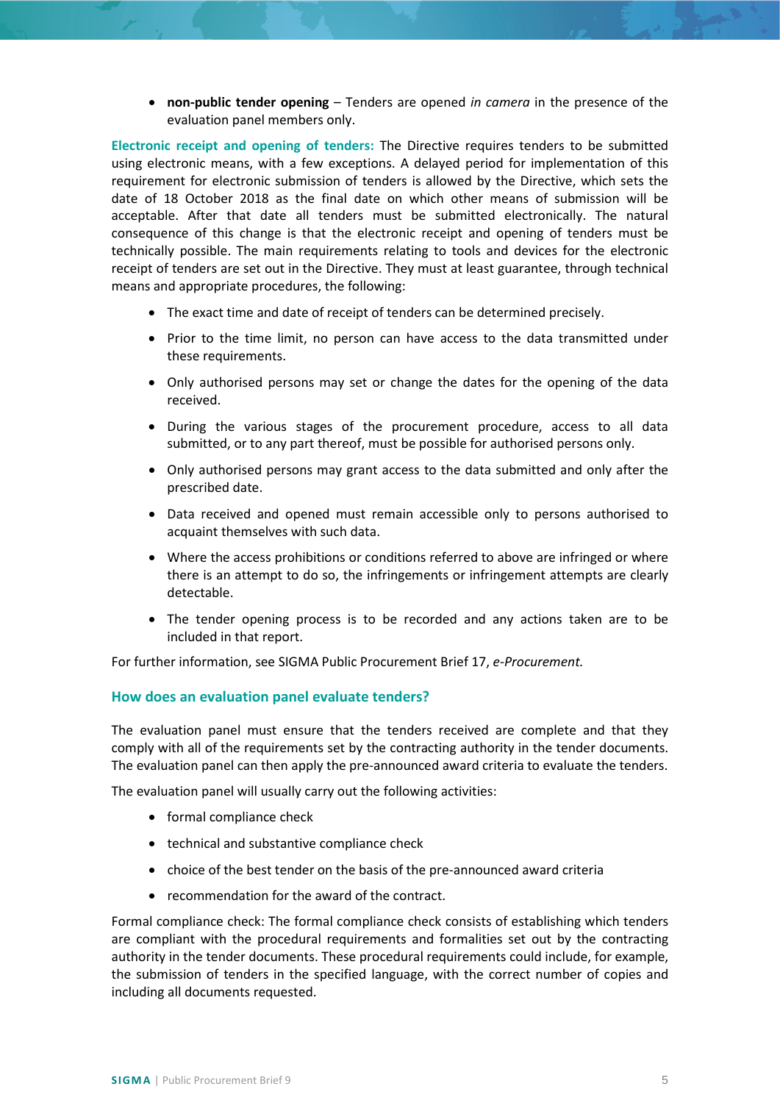• **non-public tender opening** – Tenders are opened *in camera* in the presence of the evaluation panel members only.

**Electronic receipt and opening of tenders:** The Directive requires tenders to be submitted using electronic means, with a few exceptions. A delayed period for implementation of this requirement for electronic submission of tenders is allowed by the Directive, which sets the date of 18 October 2018 as the final date on which other means of submission will be acceptable. After that date all tenders must be submitted electronically. The natural consequence of this change is that the electronic receipt and opening of tenders must be technically possible. The main requirements relating to tools and devices for the electronic receipt of tenders are set out in the Directive. They must at least guarantee, through technical means and appropriate procedures, the following:

- The exact time and date of receipt of tenders can be determined precisely.
- Prior to the time limit, no person can have access to the data transmitted under these requirements.
- Only authorised persons may set or change the dates for the opening of the data received.
- During the various stages of the procurement procedure, access to all data submitted, or to any part thereof, must be possible for authorised persons only.
- Only authorised persons may grant access to the data submitted and only after the prescribed date.
- Data received and opened must remain accessible only to persons authorised to acquaint themselves with such data.
- Where the access prohibitions or conditions referred to above are infringed or where there is an attempt to do so, the infringements or infringement attempts are clearly detectable.
- The tender opening process is to be recorded and any actions taken are to be included in that report.

For further information, see SIGMA Public Procurement Brief 17, *e-Procurement.*

#### <span id="page-4-0"></span>**How does an evaluation panel evaluate tenders?**

The evaluation panel must ensure that the tenders received are complete and that they comply with all of the requirements set by the contracting authority in the tender documents. The evaluation panel can then apply the pre-announced award criteria to evaluate the tenders.

The evaluation panel will usually carry out the following activities:

- formal compliance check
- technical and substantive compliance check
- choice of the best tender on the basis of the pre-announced award criteria
- recommendation for the award of the contract.

Formal compliance check: The formal compliance check consists of establishing which tenders are compliant with the procedural requirements and formalities set out by the contracting authority in the tender documents. These procedural requirements could include, for example, the submission of tenders in the specified language, with the correct number of copies and including all documents requested.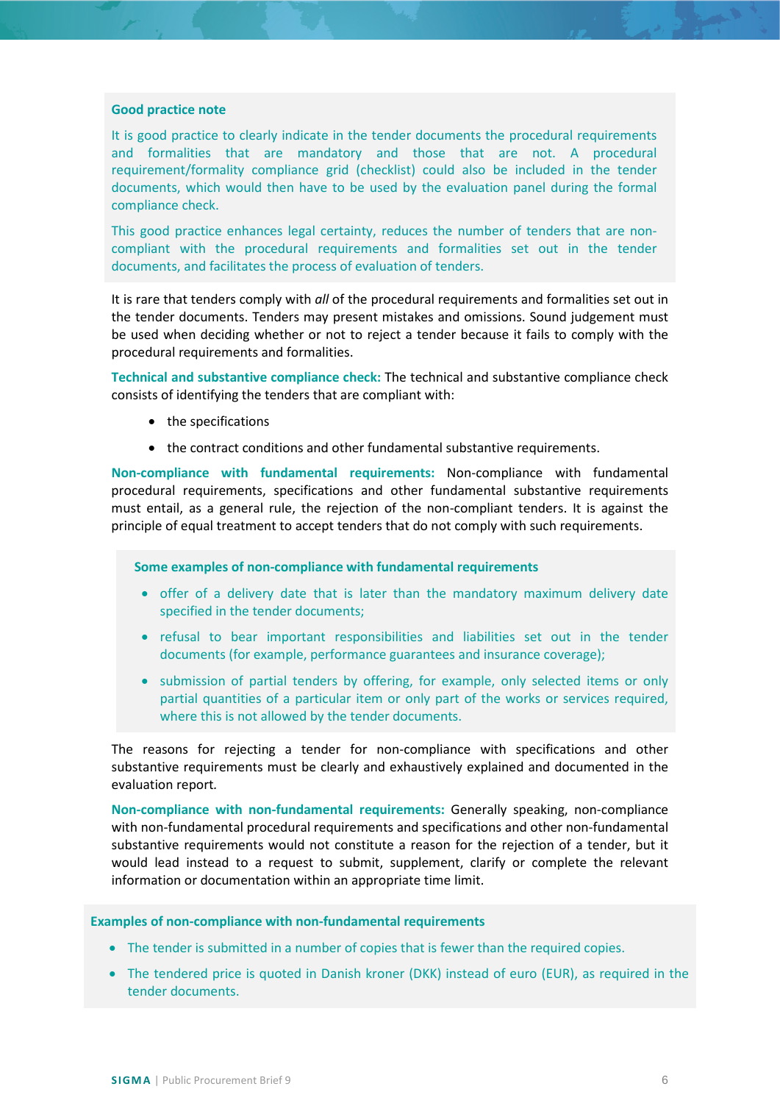#### **Good practice note**

It is good practice to clearly indicate in the tender documents the procedural requirements and formalities that are mandatory and those that are not. A procedural requirement/formality compliance grid (checklist) could also be included in the tender documents, which would then have to be used by the evaluation panel during the formal compliance check.

This good practice enhances legal certainty, reduces the number of tenders that are noncompliant with the procedural requirements and formalities set out in the tender documents, and facilitates the process of evaluation of tenders.

It is rare that tenders comply with *all* of the procedural requirements and formalities set out in the tender documents. Tenders may present mistakes and omissions. Sound judgement must be used when deciding whether or not to reject a tender because it fails to comply with the procedural requirements and formalities.

**Technical and substantive compliance check:** The technical and substantive compliance check consists of identifying the tenders that are compliant with:

- the specifications
- the contract conditions and other fundamental substantive requirements.

**Non-compliance with fundamental requirements:** Non-compliance with fundamental procedural requirements, specifications and other fundamental substantive requirements must entail, as a general rule, the rejection of the non-compliant tenders. It is against the principle of equal treatment to accept tenders that do not comply with such requirements.

#### **Some examples of non-compliance with fundamental requirements**

- offer of a delivery date that is later than the mandatory maximum delivery date specified in the tender documents;
- refusal to bear important responsibilities and liabilities set out in the tender documents (for example, performance guarantees and insurance coverage);
- submission of partial tenders by offering, for example, only selected items or only partial quantities of a particular item or only part of the works or services required, where this is not allowed by the tender documents.

The reasons for rejecting a tender for non-compliance with specifications and other substantive requirements must be clearly and exhaustively explained and documented in the evaluation report*.*

**Non-compliance with non-fundamental requirements:** Generally speaking, non-compliance with non-fundamental procedural requirements and specifications and other non-fundamental substantive requirements would not constitute a reason for the rejection of a tender, but it would lead instead to a request to submit, supplement, clarify or complete the relevant information or documentation within an appropriate time limit.

#### **Examples of non-compliance with non-fundamental requirements**

- The tender is submitted in a number of copies that is fewer than the required copies.
- The tendered price is quoted in Danish kroner (DKK) instead of euro (EUR), as required in the tender documents.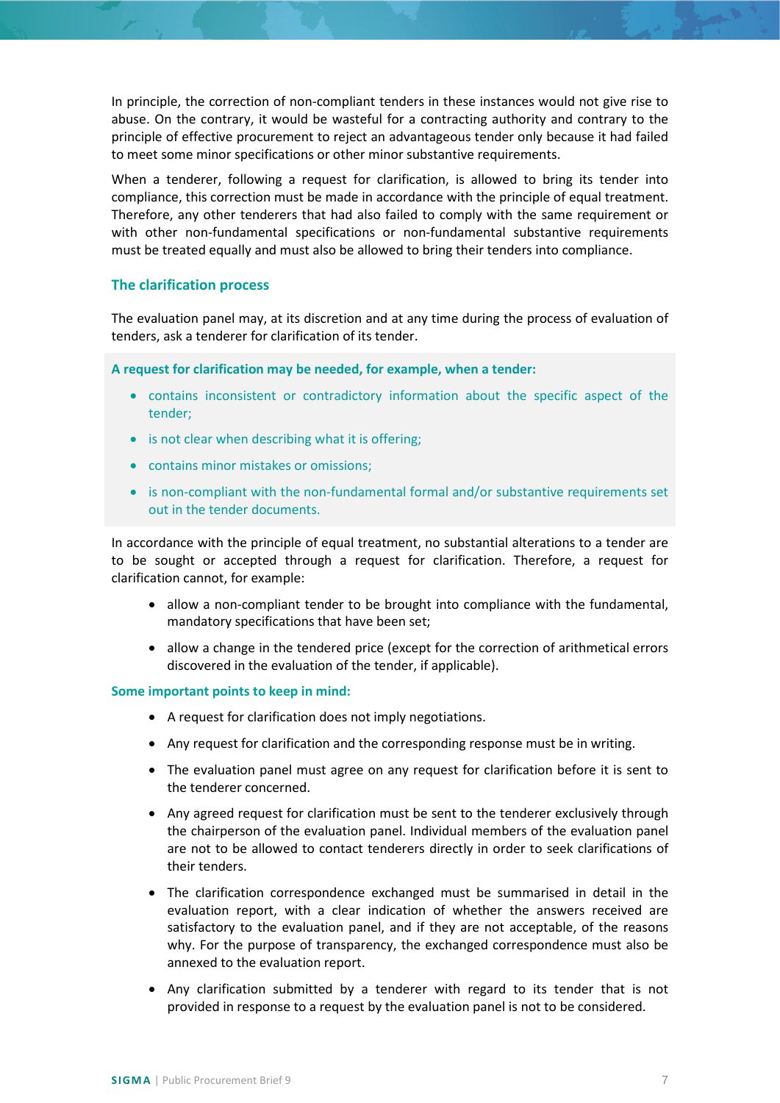In principle, the correction of non-compliant tenders in these instances would not give rise to abuse. On the contrary, it would be wasteful for a contracting authority and contrary to the principle of effective procurement to reject an advantageous tender only because it had failed to meet some minor specifications or other minor substantive requirements.

When a tenderer, following a request for clarification, is allowed to bring its tender into compliance, this correction must be made in accordance with the principle of equal treatment. Therefore, any other tenderers that had also failed to comply with the same requirement or with other non-fundamental specifications or non-fundamental substantive requirements must be treated equally and must also be allowed to bring their tenders into compliance.

## <span id="page-6-0"></span>**The clarification process**

The evaluation panel may, at its discretion and at any time during the process of evaluation of tenders, ask a tenderer for clarification of its tender.

**A request for clarification may be needed, for example, when a tender:**

- contains inconsistent or contradictory information about the specific aspect of the tender;
- is not clear when describing what it is offering;
- contains minor mistakes or omissions;
- is non-compliant with the non-fundamental formal and/or substantive requirements set out in the tender documents.

In accordance with the principle of equal treatment, no substantial alterations to a tender are to be sought or accepted through a request for clarification. Therefore, a request for clarification cannot, for example:

- allow a non-compliant tender to be brought into compliance with the fundamental, mandatory specifications that have been set;
- allow a change in the tendered price (except for the correction of arithmetical errors discovered in the evaluation of the tender, if applicable).

#### **Some important points to keep in mind:**

- A request for clarification does not imply negotiations.
- Any request for clarification and the corresponding response must be in writing.
- The evaluation panel must agree on any request for clarification before it is sent to the tenderer concerned.
- Any agreed request for clarification must be sent to the tenderer exclusively through the chairperson of the evaluation panel. Individual members of the evaluation panel are not to be allowed to contact tenderers directly in order to seek clarifications of their tenders.
- The clarification correspondence exchanged must be summarised in detail in the evaluation report, with a clear indication of whether the answers received are satisfactory to the evaluation panel, and if they are not acceptable, of the reasons why. For the purpose of transparency, the exchanged correspondence must also be annexed to the evaluation report.
- Any clarification submitted by a tenderer with regard to its tender that is not provided in response to a request by the evaluation panel is not to be considered.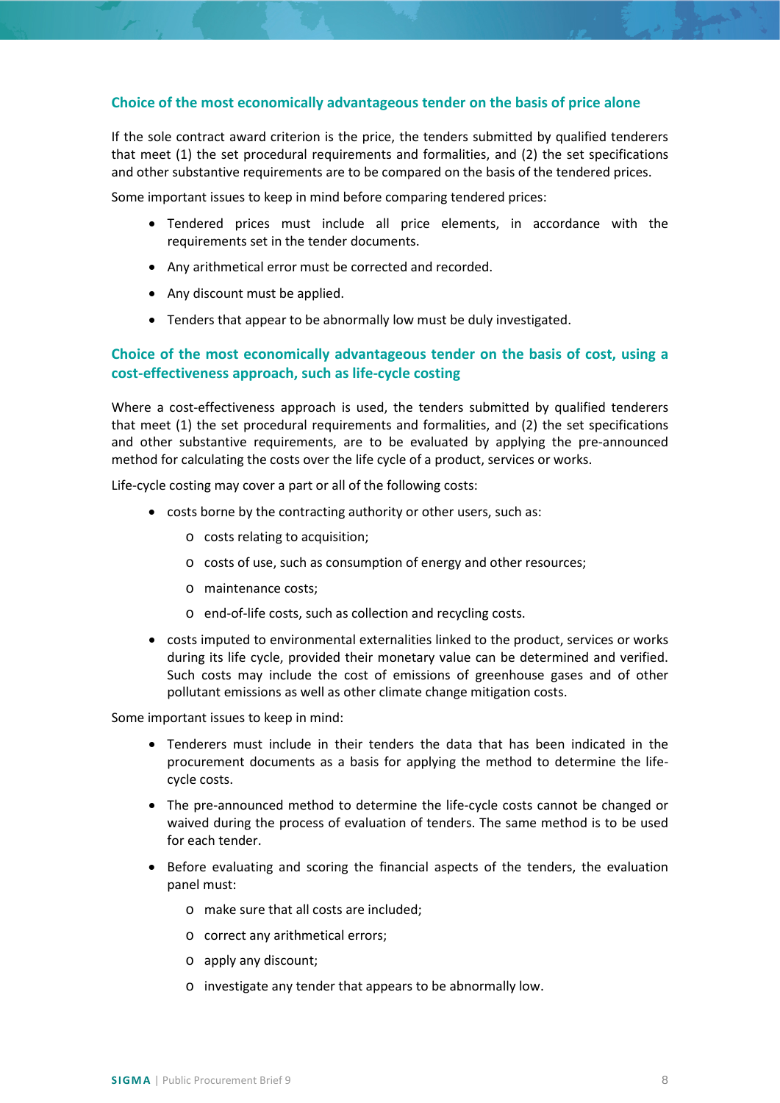## <span id="page-7-0"></span>**Choice of the most economically advantageous tender on the basis of price alone**

If the sole contract award criterion is the price, the tenders submitted by qualified tenderers that meet (1) the set procedural requirements and formalities, and (2) the set specifications and other substantive requirements are to be compared on the basis of the tendered prices.

Some important issues to keep in mind before comparing tendered prices:

- Tendered prices must include all price elements, in accordance with the requirements set in the tender documents.
- Any arithmetical error must be corrected and recorded.
- Any discount must be applied.
- Tenders that appear to be abnormally low must be duly investigated.

## <span id="page-7-1"></span>**Choice of the most economically advantageous tender on the basis of cost, using a cost-effectiveness approach, such as life-cycle costing**

Where a cost-effectiveness approach is used, the tenders submitted by qualified tenderers that meet (1) the set procedural requirements and formalities, and (2) the set specifications and other substantive requirements, are to be evaluated by applying the pre-announced method for calculating the costs over the life cycle of a product, services or works.

Life-cycle costing may cover a part or all of the following costs:

- costs borne by the contracting authority or other users, such as:
	- o costs relating to acquisition;
	- o costs of use, such as consumption of energy and other resources;
	- o maintenance costs;
	- o end-of-life costs, such as collection and recycling costs.
- costs imputed to environmental externalities linked to the product, services or works during its life cycle, provided their monetary value can be determined and verified. Such costs may include the cost of emissions of greenhouse gases and of other pollutant emissions as well as other climate change mitigation costs.

Some important issues to keep in mind:

- Tenderers must include in their tenders the data that has been indicated in the procurement documents as a basis for applying the method to determine the lifecycle costs.
- The pre-announced method to determine the life-cycle costs cannot be changed or waived during the process of evaluation of tenders. The same method is to be used for each tender.
- Before evaluating and scoring the financial aspects of the tenders, the evaluation panel must:
	- o make sure that all costs are included;
	- o correct any arithmetical errors;
	- o apply any discount;
	- o investigate any tender that appears to be abnormally low.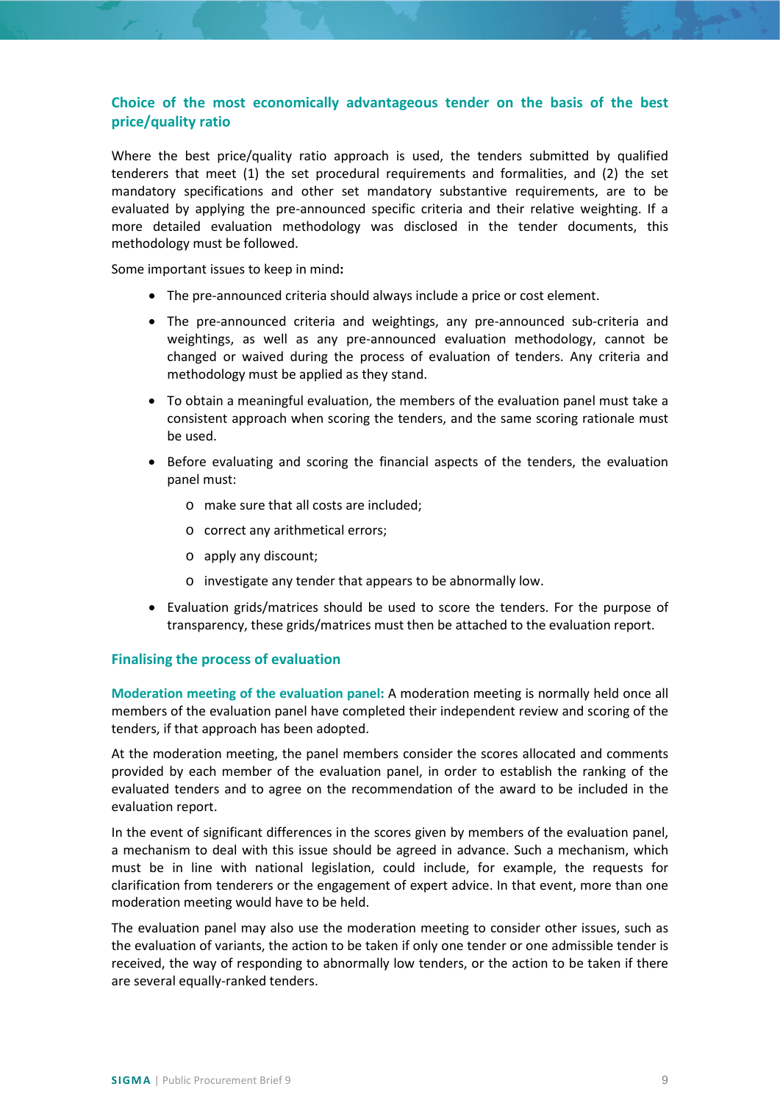# <span id="page-8-0"></span>**Choice of the most economically advantageous tender on the basis of the best price/quality ratio**

Where the best price/quality ratio approach is used, the tenders submitted by qualified tenderers that meet (1) the set procedural requirements and formalities, and (2) the set mandatory specifications and other set mandatory substantive requirements, are to be evaluated by applying the pre-announced specific criteria and their relative weighting. If a more detailed evaluation methodology was disclosed in the tender documents, this methodology must be followed.

Some important issues to keep in mind**:** 

- The pre-announced criteria should always include a price or cost element.
- The pre-announced criteria and weightings, any pre-announced sub-criteria and weightings, as well as any pre-announced evaluation methodology, cannot be changed or waived during the process of evaluation of tenders. Any criteria and methodology must be applied as they stand.
- To obtain a meaningful evaluation, the members of the evaluation panel must take a consistent approach when scoring the tenders, and the same scoring rationale must be used.
- Before evaluating and scoring the financial aspects of the tenders, the evaluation panel must:
	- o make sure that all costs are included;
	- o correct any arithmetical errors;
	- o apply any discount;
	- o investigate any tender that appears to be abnormally low.
- Evaluation grids/matrices should be used to score the tenders. For the purpose of transparency, these grids/matrices must then be attached to the evaluation report.

#### <span id="page-8-1"></span>**Finalising the process of evaluation**

**Moderation meeting of the evaluation panel:** A moderation meeting is normally held once all members of the evaluation panel have completed their independent review and scoring of the tenders, if that approach has been adopted.

At the moderation meeting, the panel members consider the scores allocated and comments provided by each member of the evaluation panel, in order to establish the ranking of the evaluated tenders and to agree on the recommendation of the award to be included in the evaluation report.

In the event of significant differences in the scores given by members of the evaluation panel, a mechanism to deal with this issue should be agreed in advance. Such a mechanism, which must be in line with national legislation, could include, for example, the requests for clarification from tenderers or the engagement of expert advice. In that event, more than one moderation meeting would have to be held.

The evaluation panel may also use the moderation meeting to consider other issues, such as the evaluation of variants, the action to be taken if only one tender or one admissible tender is received, the way of responding to abnormally low tenders, or the action to be taken if there are several equally-ranked tenders.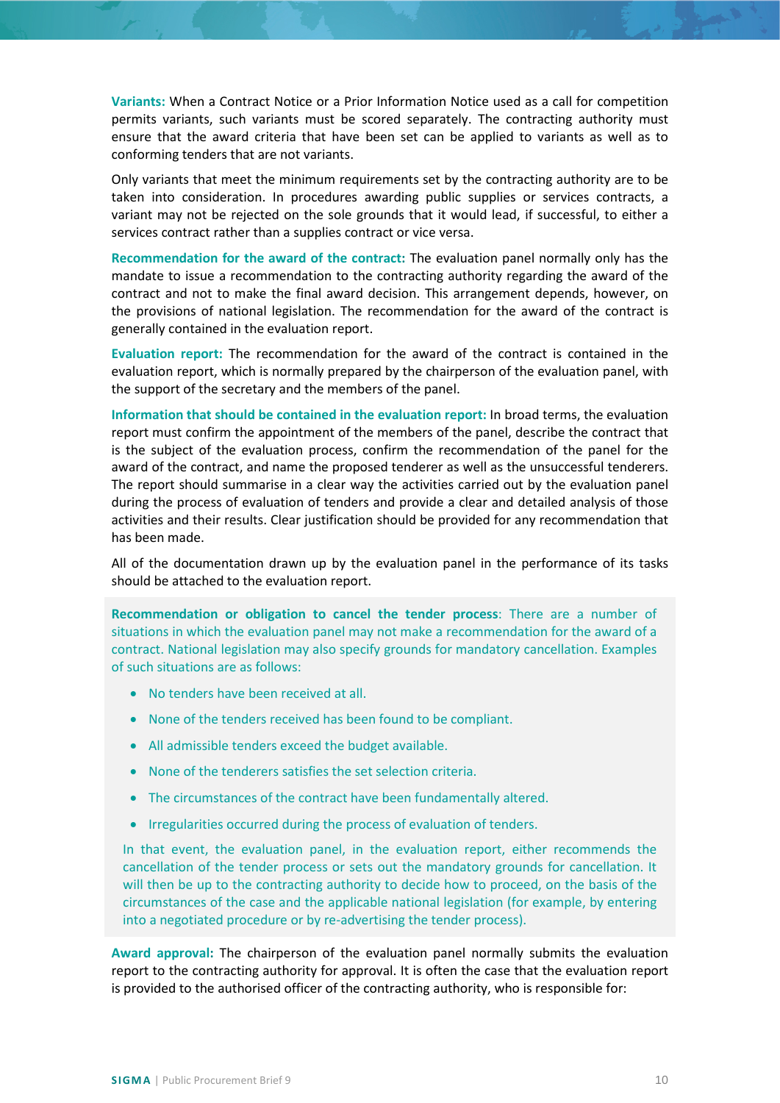**Variants:** When a Contract Notice or a Prior Information Notice used as a call for competition permits variants, such variants must be scored separately. The contracting authority must ensure that the award criteria that have been set can be applied to variants as well as to conforming tenders that are not variants.

Only variants that meet the minimum requirements set by the contracting authority are to be taken into consideration. In procedures awarding public supplies or services contracts, a variant may not be rejected on the sole grounds that it would lead, if successful, to either a services contract rather than a supplies contract or vice versa.

**Recommendation for the award of the contract:** The evaluation panel normally only has the mandate to issue a recommendation to the contracting authority regarding the award of the contract and not to make the final award decision. This arrangement depends, however, on the provisions of national legislation. The recommendation for the award of the contract is generally contained in the evaluation report.

**Evaluation report:** The recommendation for the award of the contract is contained in the evaluation report, which is normally prepared by the chairperson of the evaluation panel, with the support of the secretary and the members of the panel.

**Information that should be contained in the evaluation report:** In broad terms, the evaluation report must confirm the appointment of the members of the panel, describe the contract that is the subject of the evaluation process, confirm the recommendation of the panel for the award of the contract, and name the proposed tenderer as well as the unsuccessful tenderers. The report should summarise in a clear way the activities carried out by the evaluation panel during the process of evaluation of tenders and provide a clear and detailed analysis of those activities and their results. Clear justification should be provided for any recommendation that has been made.

All of the documentation drawn up by the evaluation panel in the performance of its tasks should be attached to the evaluation report.

**Recommendation or obligation to cancel the tender process**: There are a number of situations in which the evaluation panel may not make a recommendation for the award of a contract. National legislation may also specify grounds for mandatory cancellation. Examples of such situations are as follows:

- No tenders have been received at all.
- None of the tenders received has been found to be compliant.
- All admissible tenders exceed the budget available.
- None of the tenderers satisfies the set selection criteria.
- The circumstances of the contract have been fundamentally altered.
- Irregularities occurred during the process of evaluation of tenders.

In that event, the evaluation panel, in the evaluation report, either recommends the cancellation of the tender process or sets out the mandatory grounds for cancellation. It will then be up to the contracting authority to decide how to proceed, on the basis of the circumstances of the case and the applicable national legislation (for example, by entering into a negotiated procedure or by re-advertising the tender process).

**Award approval:** The chairperson of the evaluation panel normally submits the evaluation report to the contracting authority for approval. It is often the case that the evaluation report is provided to the authorised officer of the contracting authority, who is responsible for: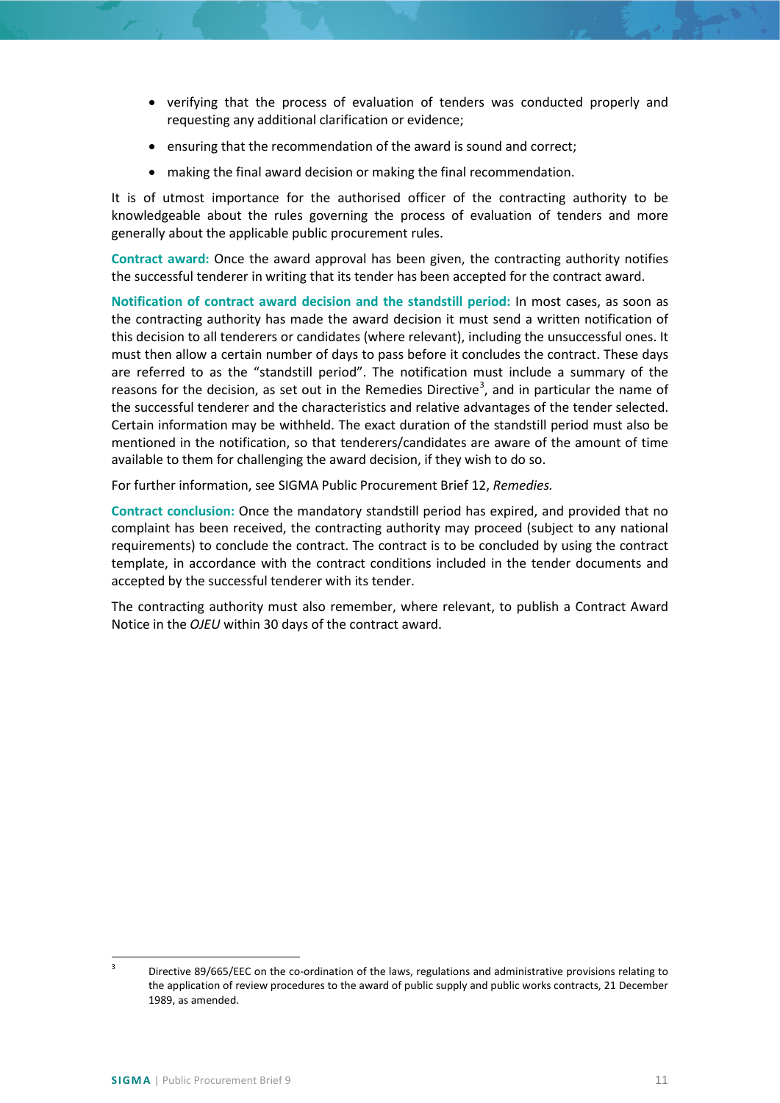- verifying that the process of evaluation of tenders was conducted properly and requesting any additional clarification or evidence;
- ensuring that the recommendation of the award is sound and correct;
- making the final award decision or making the final recommendation.

It is of utmost importance for the authorised officer of the contracting authority to be knowledgeable about the rules governing the process of evaluation of tenders and more generally about the applicable public procurement rules.

**Contract award:** Once the award approval has been given, the contracting authority notifies the successful tenderer in writing that its tender has been accepted for the contract award.

**Notification of contract award decision and the standstill period:** In most cases, as soon as the contracting authority has made the award decision it must send a written notification of this decision to all tenderers or candidates (where relevant), including the unsuccessful ones. It must then allow a certain number of days to pass before it concludes the contract. These days are referred to as the "standstill period". The notification must include a summary of the reasons for the decision, as set out in the Remedies Directive<sup>[3](#page-10-0)</sup>, and in particular the name of the successful tenderer and the characteristics and relative advantages of the tender selected. Certain information may be withheld. The exact duration of the standstill period must also be mentioned in the notification, so that tenderers/candidates are aware of the amount of time available to them for challenging the award decision, if they wish to do so.

For further information, see SIGMA Public Procurement Brief 12, *Remedies.*

**Contract conclusion:** Once the mandatory standstill period has expired, and provided that no complaint has been received, the contracting authority may proceed (subject to any national requirements) to conclude the contract. The contract is to be concluded by using the contract template, in accordance with the contract conditions included in the tender documents and accepted by the successful tenderer with its tender.

The contracting authority must also remember, where relevant, to publish a Contract Award Notice in the *OJEU* within 30 days of the contract award.

<span id="page-10-0"></span>Directive 89/665/EEC on the co-ordination of the laws, regulations and administrative provisions relating to the application of review procedures to the award of public supply and public works contracts, 21 December 1989, as amended.